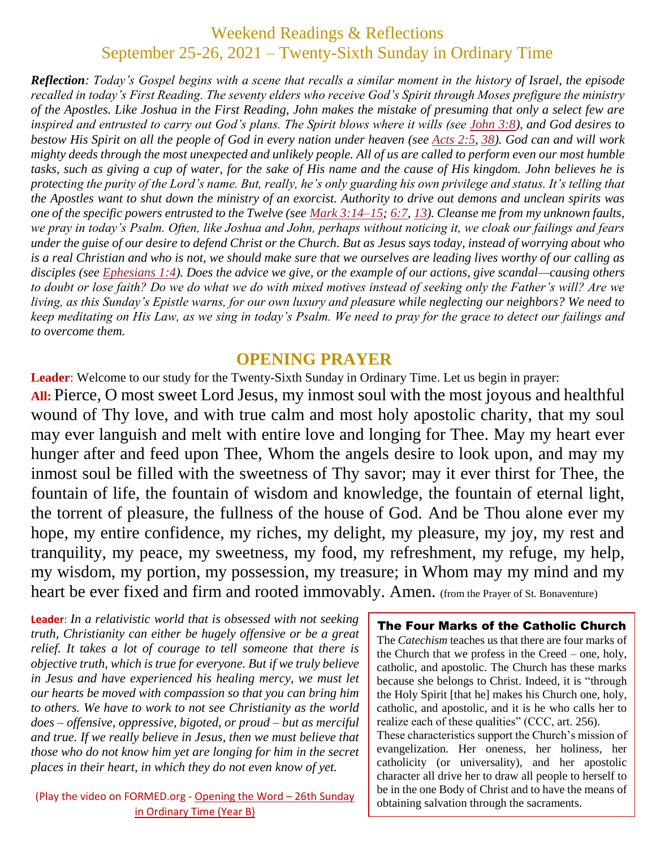## Weekend Readings & Reflections September 25-26, 2021 – Twenty-Sixth Sunday in Ordinary Time

*Reflection: Today's Gospel begins with a scene that recalls a similar moment in the history of Israel, the episode recalled in today's First Reading. The seventy elders who receive God's Spirit through Moses prefigure the ministry of the Apostles. Like Joshua in the First Reading, John makes the mistake of presuming that only a select few are inspired and entrusted to carry out God's plans. The Spirit blows where it wills (see [John](https://biblia.com/bible/rsvce/John%203.8) 3:8), and God desires to bestow His Spirit on all the people of God in every nation under heaven (see [Acts](https://biblia.com/bible/rsvce/Acts%202.5) 2:5, [38\)](https://biblia.com/bible/rsvce/Acts%202.38). God can and will work mighty deeds through the most unexpected and unlikely people. All of us are called to perform even our most humble tasks, such as giving a cup of water, for the sake of His name and the cause of His kingdom. John believes he is protecting the purity of the Lord's name. But, really, he's only guarding his own privilege and status. It's telling that the Apostles want to shut down the ministry of an exorcist. Authority to drive out demons and unclean spirits was one of the specific powers entrusted to the Twelve (see Mark [3:14–15;](https://biblia.com/bible/rsvce/Mark%203.14%E2%80%9315) [6:7,](https://biblia.com/bible/rsvce/Mark%206.7) [13\)](https://biblia.com/bible/rsvce/Mark%206.13). Cleanse me from my unknown faults, we pray in today's Psalm. Often, like Joshua and John, perhaps without noticing it, we cloak our failings and fears under the guise of our desire to defend Christ or the Church. But as Jesus says today, instead of worrying about who is a real Christian and who is not, we should make sure that we ourselves are leading lives worthy of our calling as disciples (see [Ephesians](https://biblia.com/bible/rsvce/Eph%201.4) 1:4). Does the advice we give, or the example of our actions, give scandal—causing others to doubt or lose faith? Do we do what we do with mixed motives instead of seeking only the Father's will? Are we living, as this Sunday's Epistle warns, for our own luxury and pleasure while neglecting our neighbors? We need to keep meditating on His Law, as we sing in today's Psalm. We need to pray for the grace to detect our failings and to overcome them.*

#### **OPENING PRAYER**

**Leader**: Welcome to our study for the Twenty-Sixth Sunday in Ordinary Time. Let us begin in prayer: **All:** Pierce, O most sweet Lord Jesus, my inmost soul with the most joyous and healthful wound of Thy love, and with true calm and most holy apostolic charity, that my soul may ever languish and melt with entire love and longing for Thee. May my heart ever hunger after and feed upon Thee, Whom the angels desire to look upon, and may my inmost soul be filled with the sweetness of Thy savor; may it ever thirst for Thee, the fountain of life, the fountain of wisdom and knowledge, the fountain of eternal light, the torrent of pleasure, the fullness of the house of God. And be Thou alone ever my hope, my entire confidence, my riches, my delight, my pleasure, my joy, my rest and tranquility, my peace, my sweetness, my food, my refreshment, my refuge, my help, my wisdom, my portion, my possession, my treasure; in Whom may my mind and my heart be ever fixed and firm and rooted immovably. Amen. (from the Prayer of St. Bonaventure)

**Leader**: *In a relativistic world that is obsessed with not seeking truth, Christianity can either be hugely offensive or be a great relief. It takes a lot of courage to tell someone that there is objective truth, which is true for everyone. But if we truly believe in Jesus and have experienced his healing mercy, we must let our hearts be moved with compassion so that you can bring him to others. We have to work to not see Christianity as the world does – offensive, oppressive, bigoted, or proud – but as merciful and true. If we really believe in Jesus, then we must believe that those who do not know him yet are longing for him in the secret places in their heart, in which they do not even know of yet.*

(Play the video on FORMED.org - [Opening the Word](https://watch.formed.org/opening-the-word-1/season:2/videos/26th-sunday-of-ordinary-time-september-30-2018) – 26th Sunday [in Ordinary Time \(Year B\)](https://watch.formed.org/opening-the-word-1/season:2/videos/26th-sunday-of-ordinary-time-september-30-2018)

#### The Four Marks of the Catholic Church

The *Catechism* teaches us that there are four marks of the Church that we profess in the Creed – one, holy, catholic, and apostolic. The Church has these marks because she belongs to Christ. Indeed, it is "through the Holy Spirit [that he] makes his Church one, holy, catholic, and apostolic, and it is he who calls her to realize each of these qualities" (CCC, art. 256).

These characteristics support the Church's mission of evangelization. Her oneness, her holiness, her catholicity (or universality), and her apostolic character all drive her to draw all people to herself to be in the one Body of Christ and to have the means of obtaining salvation through the sacraments.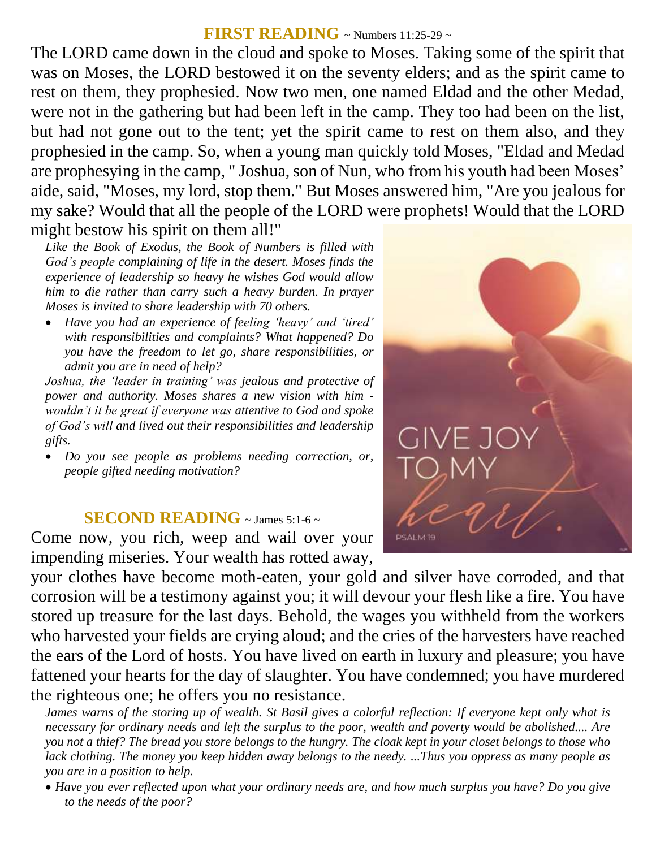#### **FIRST READING** ~ Numbers 11:25-29 ~

The LORD came down in the cloud and spoke to Moses. Taking some of the spirit that was on Moses, the LORD bestowed it on the seventy elders; and as the spirit came to rest on them, they prophesied. Now two men, one named Eldad and the other Medad, were not in the gathering but had been left in the camp. They too had been on the list, but had not gone out to the tent; yet the spirit came to rest on them also, and they prophesied in the camp. So, when a young man quickly told Moses, "Eldad and Medad are prophesying in the camp, " Joshua, son of Nun, who from his youth had been Moses' aide, said, "Moses, my lord, stop them." But Moses answered him, "Are you jealous for my sake? Would that all the people of the LORD were prophets! Would that the LORD might bestow his spirit on them all!"

*Like the Book of Exodus, the Book of Numbers is filled with God's people complaining of life in the desert. Moses finds the experience of leadership so heavy he wishes God would allow him to die rather than carry such a heavy burden. In prayer Moses is invited to share leadership with 70 others.* 

 *Have you had an experience of feeling 'heavy' and 'tired' with responsibilities and complaints? What happened? Do you have the freedom to let go, share responsibilities, or admit you are in need of help?*

*Joshua, the 'leader in training' was jealous and protective of power and authority. Moses shares a new vision with him wouldn't it be great if everyone was attentive to God and spoke of God's will and lived out their responsibilities and leadership gifts.* 

 *Do you see people as problems needing correction, or, people gifted needing motivation?*

#### **SECOND READING**  $\sim$  James 5:1-6  $\sim$

Come now, you rich, weep and wail over your impending miseries. Your wealth has rotted away,

your clothes have become moth-eaten, your gold and silver have corroded, and that corrosion will be a testimony against you; it will devour your flesh like a fire. You have stored up treasure for the last days. Behold, the wages you withheld from the workers who harvested your fields are crying aloud; and the cries of the harvesters have reached the ears of the Lord of hosts. You have lived on earth in luxury and pleasure; you have fattened your hearts for the day of slaughter. You have condemned; you have murdered the righteous one; he offers you no resistance.

*James warns of the storing up of wealth. St Basil gives a colorful reflection: If everyone kept only what is necessary for ordinary needs and left the surplus to the poor, wealth and poverty would be abolished.... Are you not a thief? The bread you store belongs to the hungry. The cloak kept in your closet belongs to those who lack clothing. The money you keep hidden away belongs to the needy. ...Thus you oppress as many people as you are in a position to help.* 

 *Have you ever reflected upon what your ordinary needs are, and how much surplus you have? Do you give to the needs of the poor?*

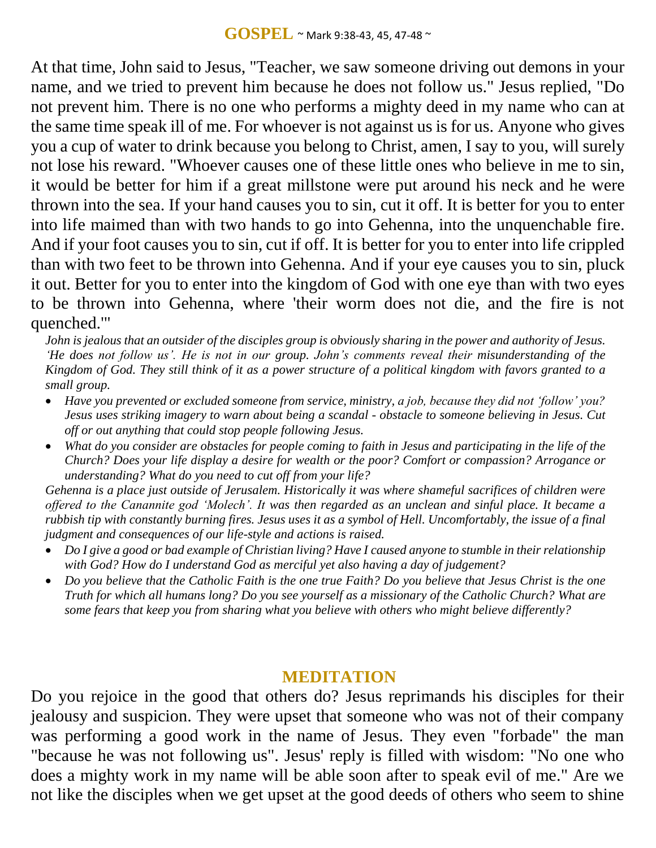At that time, John said to Jesus, "Teacher, we saw someone driving out demons in your name, and we tried to prevent him because he does not follow us." Jesus replied, "Do not prevent him. There is no one who performs a mighty deed in my name who can at the same time speak ill of me. For whoever is not against us is for us. Anyone who gives you a cup of water to drink because you belong to Christ, amen, I say to you, will surely not lose his reward. "Whoever causes one of these little ones who believe in me to sin, it would be better for him if a great millstone were put around his neck and he were thrown into the sea. If your hand causes you to sin, cut it off. It is better for you to enter into life maimed than with two hands to go into Gehenna, into the unquenchable fire. And if your foot causes you to sin, cut if off. It is better for you to enter into life crippled than with two feet to be thrown into Gehenna. And if your eye causes you to sin, pluck it out. Better for you to enter into the kingdom of God with one eye than with two eyes to be thrown into Gehenna, where 'their worm does not die, and the fire is not quenched.'"

*John is jealous that an outsider of the disciples group is obviously sharing in the power and authority of Jesus. ʻHe does not follow us'. He is not in our group. John's comments reveal their misunderstanding of the Kingdom of God. They still think of it as a power structure of a political kingdom with favors granted to a small group.* 

- *Have you prevented or excluded someone from service, ministry, a job, because they did not ʻfollow' you? Jesus uses striking imagery to warn about being a scandal - obstacle to someone believing in Jesus. Cut off or out anything that could stop people following Jesus.*
- *What do you consider are obstacles for people coming to faith in Jesus and participating in the life of the Church? Does your life display a desire for wealth or the poor? Comfort or compassion? Arrogance or understanding? What do you need to cut off from your life?*

*Gehenna is a place just outside of Jerusalem. Historically it was where shameful sacrifices of children were offered to the Canannite god ʻMolech'. It was then regarded as an unclean and sinful place. It became a rubbish tip with constantly burning fires. Jesus uses it as a symbol of Hell. Uncomfortably, the issue of a final judgment and consequences of our life-style and actions is raised.* 

- *Do I give a good or bad example of Christian living? Have I caused anyone to stumble in their relationship with God? How do I understand God as merciful yet also having a day of judgement?*
- *Do you believe that the Catholic Faith is the one true Faith? Do you believe that Jesus Christ is the one Truth for which all humans long? Do you see yourself as a missionary of the Catholic Church? What are some fears that keep you from sharing what you believe with others who might believe differently?*

### **MEDITATION**

Do you rejoice in the good that others do? Jesus reprimands his disciples for their jealousy and suspicion. They were upset that someone who was not of their company was performing a good work in the name of Jesus. They even "forbade" the man "because he was not following us". Jesus' reply is filled with wisdom: "No one who does a mighty work in my name will be able soon after to speak evil of me." Are we not like the disciples when we get upset at the good deeds of others who seem to shine